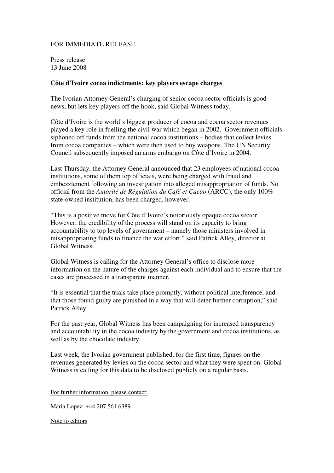## FOR IMMEDIATE RELEASE

Press release 13 June 2008

## **Côte d'Ivoire cocoa indictments: key players escape charges**

The Ivorian Attorney General's charging of senior cocoa sector officials is good news, but lets key players off the hook, said Global Witness today.

Côte d'Ivoire is the world's biggest producer of cocoa and cocoa sector revenues played a key role in fuelling the civil war which began in 2002. Government officials siphoned off funds from the national cocoa institutions – bodies that collect levies from cocoa companies – which were then used to buy weapons. The UN Security Council subsequently imposed an arms embargo on Côte d'Ivoire in 2004.

Last Thursday, the Attorney General announced that 23 employees of national cocoa institutions, some of them top officials, were being charged with fraud and embezzlement following an investigation into alleged misappropriation of funds. No official from the *Autorité de Régulation du Café et Cacao* (ARCC), the only 100% state-owned institution, has been charged, however.

"This is a positive move for Côte d'Ivoire's notoriously opaque cocoa sector. However, the credibility of the process will stand on its capacity to bring accountability to top levels of government – namely those ministers involved in misappropriating funds to finance the war effort," said Patrick Alley, director at Global Witness.

Global Witness is calling for the Attorney General's office to disclose more information on the nature of the charges against each individual and to ensure that the cases are processed in a transparent manner.

"It is essential that the trials take place promptly, without political interference, and that those found guilty are punished in a way that will deter further corruption," said Patrick Alley.

For the past year, Global Witness has been campaigning for increased transparency and accountability in the cocoa industry by the government and cocoa institutions, as well as by the chocolate industry.

Last week, the Ivorian government published, for the first time, figures on the revenues generated by levies on the cocoa sector and what they were spent on. Global Witness is calling for this data to be disclosed publicly on a regular basis.

For further information, please contact:

Maria Lopez: +44 207 561 6389

Note to editors